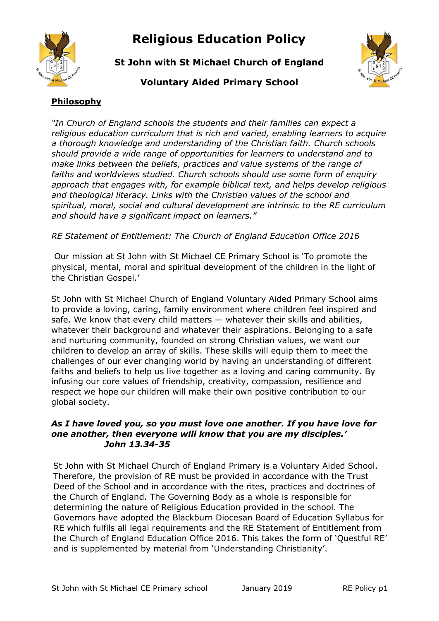

# **Religious Education Policy**

**St John with St Michael Church of England**



## **Voluntary Aided Primary School**

## **Philosophy**

*"In Church of England schools the students and their families can expect a religious education curriculum that is rich and varied, enabling learners to acquire a thorough knowledge and understanding of the Christian faith. Church schools should provide a wide range of opportunities for learners to understand and to make links between the beliefs, practices and value systems of the range of faiths and worldviews studied. Church schools should use some form of enquiry approach that engages with, for example biblical text, and helps develop religious and theological literacy. Links with the Christian values of the school and spiritual, moral, social and cultural development are intrinsic to the RE curriculum and should have a significant impact on learners."* 

*RE Statement of Entitlement: The Church of England Education Office 2016*

Our mission at St John with St Michael CE Primary School is 'To promote the physical, mental, moral and spiritual development of the children in the light of the Christian Gospel.'

St John with St Michael Church of England Voluntary Aided Primary School aims to provide a loving, caring, family environment where children feel inspired and safe. We know that every child matters — whatever their skills and abilities, whatever their background and whatever their aspirations. Belonging to a safe and nurturing community, founded on strong Christian values, we want our children to develop an array of skills. These skills will equip them to meet the challenges of our ever changing world by having an understanding of different faiths and beliefs to help us live together as a loving and caring community. By infusing our core values of friendship, creativity, compassion, resilience and respect we hope our children will make their own positive contribution to our global society.

#### *As I have loved you, so you must love one another. If you have love for one another, then everyone will know that you are my disciples.' John 13.34-35*

St John with St Michael Church of England Primary is a Voluntary Aided School. Therefore, the provision of RE must be provided in accordance with the Trust Deed of the School and in accordance with the rites, practices and doctrines of the Church of England. The Governing Body as a whole is responsible for determining the nature of Religious Education provided in the school. The Governors have adopted the Blackburn Diocesan Board of Education Syllabus for RE which fulfils all legal requirements and the RE Statement of Entitlement from the Church of England Education Office 2016. This takes the form of 'Questful RE' and is supplemented by material from 'Understanding Christianity'.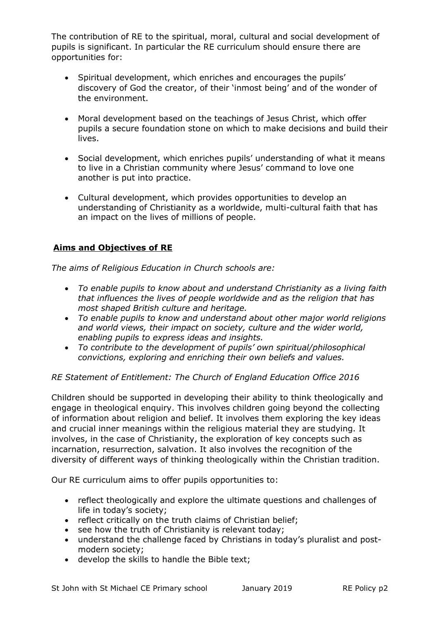The contribution of RE to the spiritual, moral, cultural and social development of pupils is significant. In particular the RE curriculum should ensure there are opportunities for:

- Spiritual development, which enriches and encourages the pupils' discovery of God the creator, of their 'inmost being' and of the wonder of the environment.
- Moral development based on the teachings of Jesus Christ, which offer pupils a secure foundation stone on which to make decisions and build their lives.
- Social development, which enriches pupils' understanding of what it means to live in a Christian community where Jesus' command to love one another is put into practice.
- Cultural development, which provides opportunities to develop an understanding of Christianity as a worldwide, multi-cultural faith that has an impact on the lives of millions of people.

## **Aims and Objectives of RE**

*The aims of Religious Education in Church schools are:* 

- *To enable pupils to know about and understand Christianity as a living faith that influences the lives of people worldwide and as the religion that has most shaped British culture and heritage.*
- *To enable pupils to know and understand about other major world religions and world views, their impact on society, culture and the wider world, enabling pupils to express ideas and insights.*
- *To contribute to the development of pupils' own spiritual/philosophical convictions, exploring and enriching their own beliefs and values.*

*RE Statement of Entitlement: The Church of England Education Office 2016*

Children should be supported in developing their ability to think theologically and engage in theological enquiry. This involves children going beyond the collecting of information about religion and belief. It involves them exploring the key ideas and crucial inner meanings within the religious material they are studying. It involves, in the case of Christianity, the exploration of key concepts such as incarnation, resurrection, salvation. It also involves the recognition of the diversity of different ways of thinking theologically within the Christian tradition.

Our RE curriculum aims to offer pupils opportunities to:

- reflect theologically and explore the ultimate questions and challenges of life in today's society;
- reflect critically on the truth claims of Christian belief;
- see how the truth of Christianity is relevant today;
- understand the challenge faced by Christians in today's pluralist and postmodern society;
- develop the skills to handle the Bible text;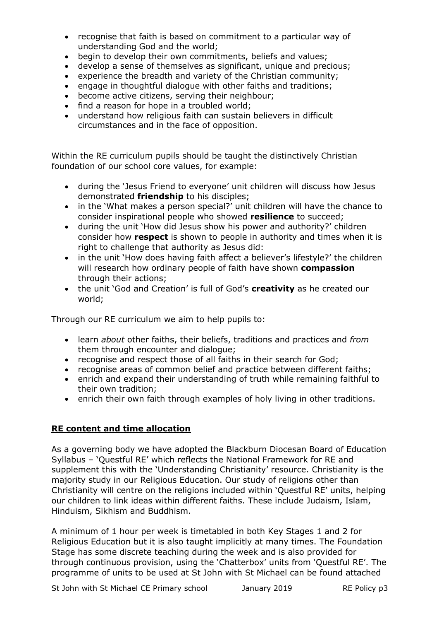- recognise that faith is based on commitment to a particular way of understanding God and the world;
- begin to develop their own commitments, beliefs and values;
- develop a sense of themselves as significant, unique and precious;
- experience the breadth and variety of the Christian community;
- engage in thoughtful dialogue with other faiths and traditions;
- become active citizens, serving their neighbour;
- find a reason for hope in a troubled world;
- understand how religious faith can sustain believers in difficult circumstances and in the face of opposition.

Within the RE curriculum pupils should be taught the distinctively Christian foundation of our school core values, for example:

- during the 'Jesus Friend to everyone' unit children will discuss how Jesus demonstrated **friendship** to his disciples;
- in the 'What makes a person special?' unit children will have the chance to consider inspirational people who showed **resilience** to succeed;
- during the unit 'How did Jesus show his power and authority?' children consider how **respect** is shown to people in authority and times when it is right to challenge that authority as Jesus did:
- in the unit 'How does having faith affect a believer's lifestyle?' the children will research how ordinary people of faith have shown **compassion**  through their actions;
- the unit 'God and Creation' is full of God's **creativity** as he created our world;

Through our RE curriculum we aim to help pupils to:

- learn *about* other faiths, their beliefs, traditions and practices and *from* them through encounter and dialogue;
- recognise and respect those of all faiths in their search for God;
- recognise areas of common belief and practice between different faiths;
- enrich and expand their understanding of truth while remaining faithful to their own tradition;
- enrich their own faith through examples of holy living in other traditions.

## **RE content and time allocation**

As a governing body we have adopted the Blackburn Diocesan Board of Education Syllabus – 'Questful RE' which reflects the National Framework for RE and supplement this with the 'Understanding Christianity' resource. Christianity is the majority study in our Religious Education. Our study of religions other than Christianity will centre on the religions included within 'Questful RE' units, helping our children to link ideas within different faiths. These include Judaism, Islam, Hinduism, Sikhism and Buddhism.

A minimum of 1 hour per week is timetabled in both Key Stages 1 and 2 for Religious Education but it is also taught implicitly at many times. The Foundation Stage has some discrete teaching during the week and is also provided for through continuous provision, using the 'Chatterbox' units from 'Questful RE'. The programme of units to be used at St John with St Michael can be found attached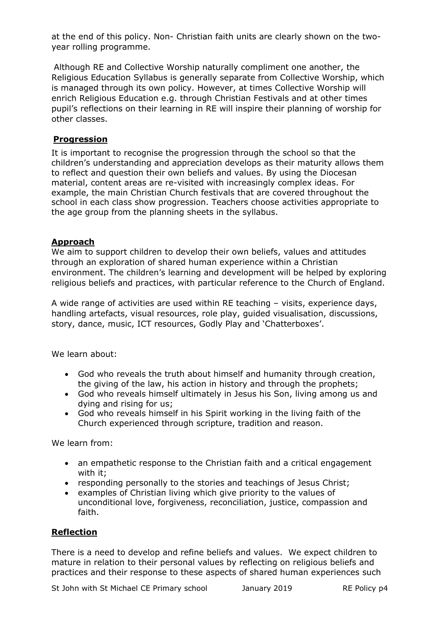at the end of this policy. Non- Christian faith units are clearly shown on the twoyear rolling programme.

Although RE and Collective Worship naturally compliment one another, the Religious Education Syllabus is generally separate from Collective Worship, which is managed through its own policy. However, at times Collective Worship will enrich Religious Education e.g. through Christian Festivals and at other times pupil's reflections on their learning in RE will inspire their planning of worship for other classes.

## **Progression**

It is important to recognise the progression through the school so that the children's understanding and appreciation develops as their maturity allows them to reflect and question their own beliefs and values. By using the Diocesan material, content areas are re-visited with increasingly complex ideas. For example, the main Christian Church festivals that are covered throughout the school in each class show progression. Teachers choose activities appropriate to the age group from the planning sheets in the syllabus.

## **Approach**

We aim to support children to develop their own beliefs, values and attitudes through an exploration of shared human experience within a Christian environment. The children's learning and development will be helped by exploring religious beliefs and practices, with particular reference to the Church of England.

A wide range of activities are used within RE teaching – visits, experience days, handling artefacts, visual resources, role play, guided visualisation, discussions, story, dance, music, ICT resources, Godly Play and 'Chatterboxes'.

We learn about:

- God who reveals the truth about himself and humanity through creation, the giving of the law, his action in history and through the prophets;
- God who reveals himself ultimately in Jesus his Son, living among us and dying and rising for us;
- God who reveals himself in his Spirit working in the living faith of the Church experienced through scripture, tradition and reason.

We learn from:

- an empathetic response to the Christian faith and a critical engagement with it;
- responding personally to the stories and teachings of Jesus Christ;
- examples of Christian living which give priority to the values of unconditional love, forgiveness, reconciliation, justice, compassion and faith.

#### **Reflection**

There is a need to develop and refine beliefs and values. We expect children to mature in relation to their personal values by reflecting on religious beliefs and practices and their response to these aspects of shared human experiences such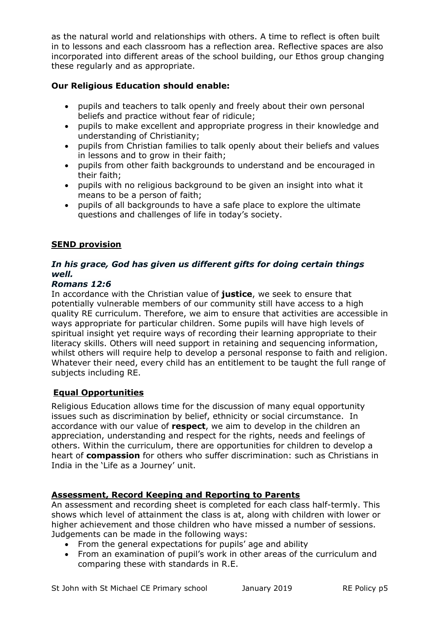as the natural world and relationships with others. A time to reflect is often built in to lessons and each classroom has a reflection area. Reflective spaces are also incorporated into different areas of the school building, our Ethos group changing these regularly and as appropriate.

## **Our Religious Education should enable:**

- pupils and teachers to talk openly and freely about their own personal beliefs and practice without fear of ridicule;
- pupils to make excellent and appropriate progress in their knowledge and understanding of Christianity;
- pupils from Christian families to talk openly about their beliefs and values in lessons and to grow in their faith;
- pupils from other faith backgrounds to understand and be encouraged in their faith;
- pupils with no religious background to be given an insight into what it means to be a person of faith;
- pupils of all backgrounds to have a safe place to explore the ultimate questions and challenges of life in today's society.

#### **SEND provision**

#### *In his grace, God has given us different gifts for doing certain things well.*

#### *Romans 12:6*

In accordance with the Christian value of **justice**, we seek to ensure that potentially vulnerable members of our community still have access to a high quality RE curriculum. Therefore, we aim to ensure that activities are accessible in ways appropriate for particular children. Some pupils will have high levels of spiritual insight yet require ways of recording their learning appropriate to their literacy skills. Others will need support in retaining and sequencing information, whilst others will require help to develop a personal response to faith and religion. Whatever their need, every child has an entitlement to be taught the full range of subjects including RE.

#### **Equal Opportunities**

Religious Education allows time for the discussion of many equal opportunity issues such as discrimination by belief, ethnicity or social circumstance. In accordance with our value of **respect**, we aim to develop in the children an appreciation, understanding and respect for the rights, needs and feelings of others. Within the curriculum, there are opportunities for children to develop a heart of **compassion** for others who suffer discrimination: such as Christians in India in the 'Life as a Journey' unit.

#### **Assessment, Record Keeping and Reporting to Parents**

An assessment and recording sheet is completed for each class half-termly. This shows which level of attainment the class is at, along with children with lower or higher achievement and those children who have missed a number of sessions. Judgements can be made in the following ways:

- From the general expectations for pupils' age and ability
- From an examination of pupil's work in other areas of the curriculum and comparing these with standards in R.E.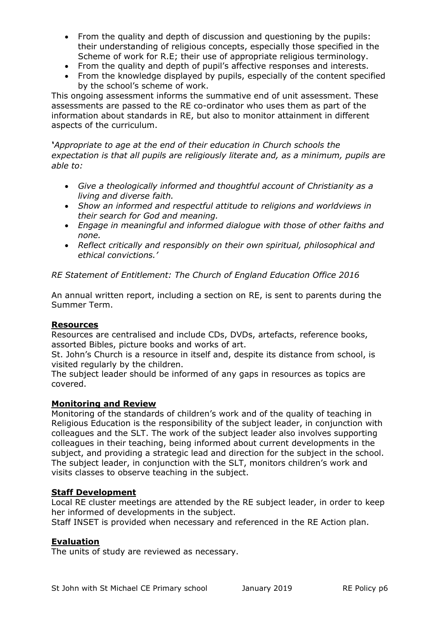- From the quality and depth of discussion and questioning by the pupils: their understanding of religious concepts, especially those specified in the Scheme of work for R.E; their use of appropriate religious terminology.
- From the quality and depth of pupil's affective responses and interests.
- From the knowledge displayed by pupils, especially of the content specified by the school's scheme of work.

This ongoing assessment informs the summative end of unit assessment. These assessments are passed to the RE co-ordinator who uses them as part of the information about standards in RE, but also to monitor attainment in different aspects of the curriculum.

*'Appropriate to age at the end of their education in Church schools the expectation is that all pupils are religiously literate and, as a minimum, pupils are able to:*

- *Give a theologically informed and thoughtful account of Christianity as a living and diverse faith.*
- *Show an informed and respectful attitude to religions and worldviews in their search for God and meaning.*
- *Engage in meaningful and informed dialogue with those of other faiths and none.*
- *Reflect critically and responsibly on their own spiritual, philosophical and ethical convictions.'*

*RE Statement of Entitlement: The Church of England Education Office 2016*

An annual written report, including a section on RE, is sent to parents during the Summer Term.

#### **Resources**

Resources are centralised and include CDs, DVDs, artefacts, reference books, assorted Bibles, picture books and works of art.

St. John's Church is a resource in itself and, despite its distance from school, is visited regularly by the children.

The subject leader should be informed of any gaps in resources as topics are covered.

#### **Monitoring and Review**

Monitoring of the standards of children's work and of the quality of teaching in Religious Education is the responsibility of the subject leader, in conjunction with colleagues and the SLT. The work of the subject leader also involves supporting colleagues in their teaching, being informed about current developments in the subject, and providing a strategic lead and direction for the subject in the school. The subject leader, in conjunction with the SLT, monitors children's work and visits classes to observe teaching in the subject.

#### **Staff Development**

Local RE cluster meetings are attended by the RE subject leader, in order to keep her informed of developments in the subject.

Staff INSET is provided when necessary and referenced in the RE Action plan.

#### **Evaluation**

The units of study are reviewed as necessary.